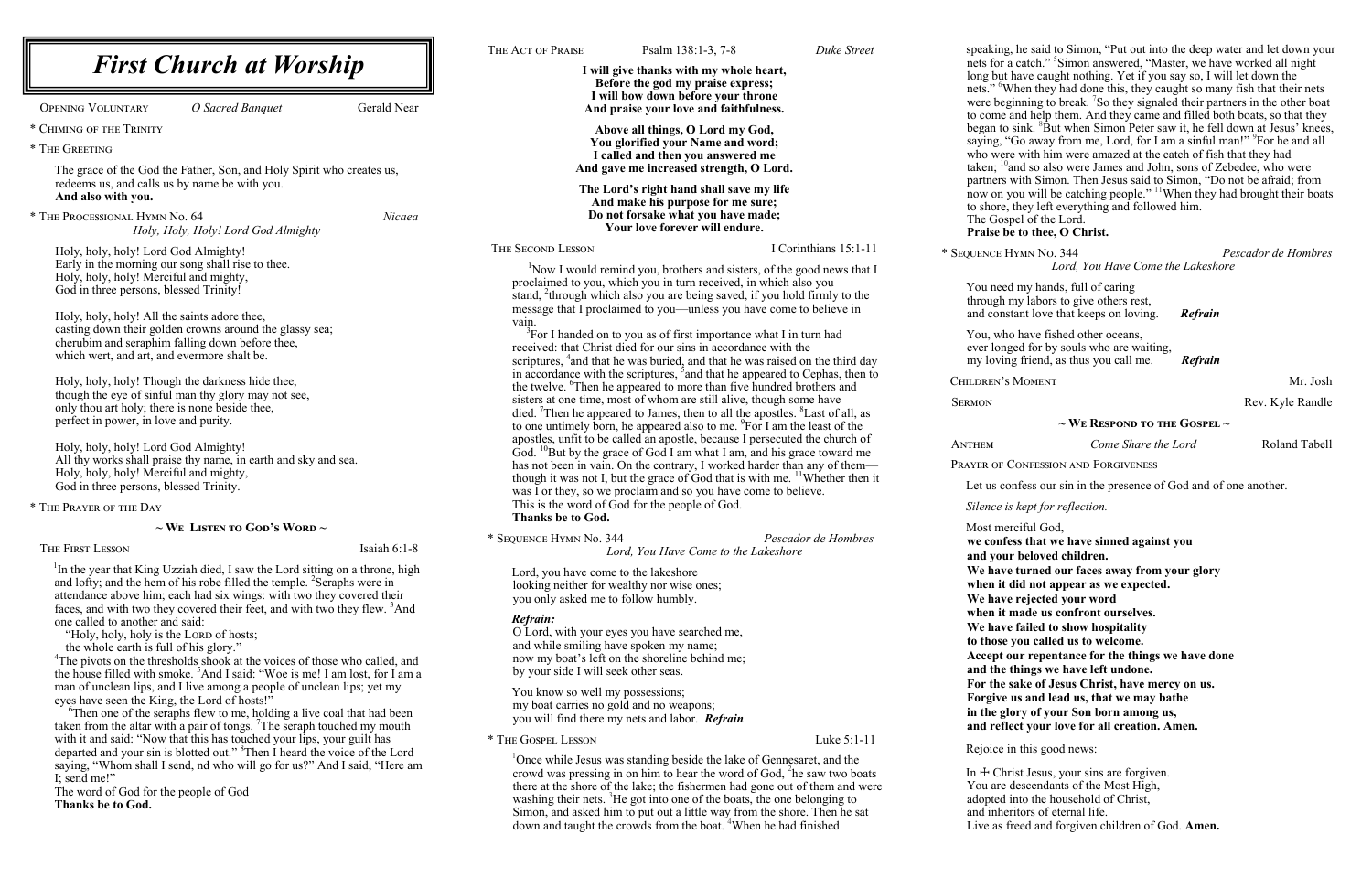speaking, he said to Simon, "Put out into the deep water and let down your nets for a catch." 5 Simon answered, "Master, we have worked all night long but have caught nothing. Yet if you say so, I will let down the nets." <sup>6</sup>When they had done this, they caught so many fish that their nets were beginning to break. <sup>7</sup>So they signaled their partners in the other boat to come and help them. And they came and filled both boats, so that they began to sink. <sup>8</sup>But when Simon Peter saw it, he fell down at Jesus' knees, saying, "Go away from me, Lord, for I am a sinful man!" <sup>9</sup>For he and all who were with him were amazed at the catch of fish that they had taken;  $10$  and so also were James and John, sons of Zebedee, who were partners with Simon. Then Jesus said to Simon, "Do not be afraid; from now on you will be catching people." <sup>11</sup>When they had brought their boats to shore, they left everything and followed him. The Gospel of the Lord.

|                                                                                                                                                                                                                                                                                                                                                                                                                                                 |                                                                                                                                                                                                                                                                                                                                                                                                                                                                                                                                                                                                                                                                                                       |                                                                      | THE ACT OF PRAISE                                                                                                                                                                                                                                                                                                                                                                                                                                                                                                                                                                                                                                                                                                                                                                                                                                                                                                                                                                                                                                                                                                                                                                                                                                                                                                                                                                                                                                                                        | Psalm 138:1-3, 7-8                                                                                                                                                                                                                                                                         | Duke Street           |
|-------------------------------------------------------------------------------------------------------------------------------------------------------------------------------------------------------------------------------------------------------------------------------------------------------------------------------------------------------------------------------------------------------------------------------------------------|-------------------------------------------------------------------------------------------------------------------------------------------------------------------------------------------------------------------------------------------------------------------------------------------------------------------------------------------------------------------------------------------------------------------------------------------------------------------------------------------------------------------------------------------------------------------------------------------------------------------------------------------------------------------------------------------------------|----------------------------------------------------------------------|------------------------------------------------------------------------------------------------------------------------------------------------------------------------------------------------------------------------------------------------------------------------------------------------------------------------------------------------------------------------------------------------------------------------------------------------------------------------------------------------------------------------------------------------------------------------------------------------------------------------------------------------------------------------------------------------------------------------------------------------------------------------------------------------------------------------------------------------------------------------------------------------------------------------------------------------------------------------------------------------------------------------------------------------------------------------------------------------------------------------------------------------------------------------------------------------------------------------------------------------------------------------------------------------------------------------------------------------------------------------------------------------------------------------------------------------------------------------------------------|--------------------------------------------------------------------------------------------------------------------------------------------------------------------------------------------------------------------------------------------------------------------------------------------|-----------------------|
| <b>OPENING VOLUNTARY</b>                                                                                                                                                                                                                                                                                                                                                                                                                        | <b>First Church at Worship</b><br>O Sacred Banquet                                                                                                                                                                                                                                                                                                                                                                                                                                                                                                                                                                                                                                                    | Gerald Near                                                          | I will give thanks with my whole heart,<br>Before the god my praise express;<br>I will bow down before your throne<br>And praise your love and faithfulness.                                                                                                                                                                                                                                                                                                                                                                                                                                                                                                                                                                                                                                                                                                                                                                                                                                                                                                                                                                                                                                                                                                                                                                                                                                                                                                                             |                                                                                                                                                                                                                                                                                            |                       |
| * CHIMING OF THE TRINITY                                                                                                                                                                                                                                                                                                                                                                                                                        |                                                                                                                                                                                                                                                                                                                                                                                                                                                                                                                                                                                                                                                                                                       |                                                                      |                                                                                                                                                                                                                                                                                                                                                                                                                                                                                                                                                                                                                                                                                                                                                                                                                                                                                                                                                                                                                                                                                                                                                                                                                                                                                                                                                                                                                                                                                          | Above all things, O Lord my God,<br>You glorified your Name and word;                                                                                                                                                                                                                      |                       |
| * THE GREETING                                                                                                                                                                                                                                                                                                                                                                                                                                  |                                                                                                                                                                                                                                                                                                                                                                                                                                                                                                                                                                                                                                                                                                       |                                                                      |                                                                                                                                                                                                                                                                                                                                                                                                                                                                                                                                                                                                                                                                                                                                                                                                                                                                                                                                                                                                                                                                                                                                                                                                                                                                                                                                                                                                                                                                                          | I called and then you answered me<br>And gave me increased strength, O Lord.                                                                                                                                                                                                               |                       |
| The grace of the God the Father, Son, and Holy Spirit who creates us,<br>redeems us, and calls us by name be with you.<br>And also with you.                                                                                                                                                                                                                                                                                                    |                                                                                                                                                                                                                                                                                                                                                                                                                                                                                                                                                                                                                                                                                                       |                                                                      | The Lord's right hand shall save my life<br>And make his purpose for me sure;                                                                                                                                                                                                                                                                                                                                                                                                                                                                                                                                                                                                                                                                                                                                                                                                                                                                                                                                                                                                                                                                                                                                                                                                                                                                                                                                                                                                            |                                                                                                                                                                                                                                                                                            |                       |
| * THE PROCESSIONAL HYMN No. 64<br>Nicaea<br>Holy, Holy, Holy! Lord God Almighty                                                                                                                                                                                                                                                                                                                                                                 |                                                                                                                                                                                                                                                                                                                                                                                                                                                                                                                                                                                                                                                                                                       | Do not forsake what you have made;<br>Your love forever will endure. |                                                                                                                                                                                                                                                                                                                                                                                                                                                                                                                                                                                                                                                                                                                                                                                                                                                                                                                                                                                                                                                                                                                                                                                                                                                                                                                                                                                                                                                                                          |                                                                                                                                                                                                                                                                                            |                       |
| Holy, holy, holy! Lord God Almighty!                                                                                                                                                                                                                                                                                                                                                                                                            |                                                                                                                                                                                                                                                                                                                                                                                                                                                                                                                                                                                                                                                                                                       |                                                                      | THE SECOND LESSON                                                                                                                                                                                                                                                                                                                                                                                                                                                                                                                                                                                                                                                                                                                                                                                                                                                                                                                                                                                                                                                                                                                                                                                                                                                                                                                                                                                                                                                                        |                                                                                                                                                                                                                                                                                            | I Corinthians 15:1-11 |
| Early in the morning our song shall rise to thee.<br>Holy, holy, holy! Merciful and mighty,<br>God in three persons, blessed Trinity!<br>Holy, holy, holy! All the saints adore thee,<br>casting down their golden crowns around the glassy sea;<br>cherubim and seraphim falling down before thee,                                                                                                                                             |                                                                                                                                                                                                                                                                                                                                                                                                                                                                                                                                                                                                                                                                                                       |                                                                      | <sup>1</sup> Now I would remind you, brothers and sisters, of the good news that I<br>proclaimed to you, which you in turn received, in which also you<br>stand, <sup>2</sup> through which also you are being saved, if you hold firmly to the<br>message that I proclaimed to you—unless you have come to believe in<br>vain.<br><sup>3</sup> For I handed on to you as of first importance what I in turn had<br>received: that Christ died for our sins in accordance with the<br>scriptures, <sup>4</sup> and that he was buried, and that he was raised on the third day<br>in accordance with the scriptures, <sup>5</sup> and that he appeared to Cephas, then to<br>the twelve. <sup>6</sup> Then he appeared to more than five hundred brothers and<br>sisters at one time, most of whom are still alive, though some have<br>died. Then he appeared to James, then to all the apostles. <sup>8</sup> Last of all, as<br>to one untimely born, he appeared also to me. <sup>9</sup> For I am the least of the<br>apostles, unfit to be called an apostle, because I persecuted the church of<br>God. <sup>10</sup> But by the grace of God I am what I am, and his grace toward me<br>has not been in vain. On the contrary, I worked harder than any of them-<br>though it was not I, but the grace of God that is with me. <sup>11</sup> Whether then it<br>was I or they, so we proclaim and so you have come to believe.<br>This is the word of God for the people of God. |                                                                                                                                                                                                                                                                                            |                       |
| which wert, and art, and evermore shalt be.<br>Holy, holy, holy! Though the darkness hide thee,<br>though the eye of sinful man thy glory may not see,<br>only thou art holy; there is none beside thee,<br>perfect in power, in love and purity.<br>Holy, holy, holy! Lord God Almighty!<br>All thy works shall praise thy name, in earth and sky and sea.<br>Holy, holy, holy! Merciful and mighty,<br>God in three persons, blessed Trinity. |                                                                                                                                                                                                                                                                                                                                                                                                                                                                                                                                                                                                                                                                                                       |                                                                      |                                                                                                                                                                                                                                                                                                                                                                                                                                                                                                                                                                                                                                                                                                                                                                                                                                                                                                                                                                                                                                                                                                                                                                                                                                                                                                                                                                                                                                                                                          |                                                                                                                                                                                                                                                                                            |                       |
| * THE PRAYER OF THE DAY                                                                                                                                                                                                                                                                                                                                                                                                                         |                                                                                                                                                                                                                                                                                                                                                                                                                                                                                                                                                                                                                                                                                                       |                                                                      | <b>Thanks be to God.</b>                                                                                                                                                                                                                                                                                                                                                                                                                                                                                                                                                                                                                                                                                                                                                                                                                                                                                                                                                                                                                                                                                                                                                                                                                                                                                                                                                                                                                                                                 |                                                                                                                                                                                                                                                                                            |                       |
| THE FIRST LESSON                                                                                                                                                                                                                                                                                                                                                                                                                                | $\sim$ We Listen to God's Word $\sim$                                                                                                                                                                                                                                                                                                                                                                                                                                                                                                                                                                                                                                                                 | Isaiah $6:1-8$                                                       | * SEQUENCE HYMN No. 344                                                                                                                                                                                                                                                                                                                                                                                                                                                                                                                                                                                                                                                                                                                                                                                                                                                                                                                                                                                                                                                                                                                                                                                                                                                                                                                                                                                                                                                                  | Lord, You Have Come to the Lakeshore                                                                                                                                                                                                                                                       | Pescador de Hombres   |
| one called to another and said:<br>"Holy, holy, holy is the LORD of hosts;<br>the whole earth is full of his glory."<br>eyes have seen the King, the Lord of hosts!"                                                                                                                                                                                                                                                                            | <sup>1</sup> In the year that King Uzziah died, I saw the Lord sitting on a throne, high<br>and lofty; and the hem of his robe filled the temple. <sup>2</sup> Seraphs were in<br>attendance above him; each had six wings: with two they covered their<br>faces, and with two they covered their feet, and with two they flew. <sup>3</sup> And<br><sup>4</sup> The pivots on the thresholds shook at the voices of those who called, and<br>the house filled with smoke. <sup>5</sup> And I said: "Woe is me! I am lost, for I am a<br>man of unclean lips, and I live among a people of unclean lips; yet my<br><sup>6</sup> Then one of the seraphs flew to me, holding a live coal that had been |                                                                      | Lord, you have come to the lakeshore<br>you only asked me to follow humbly.<br>Refrain:<br>by your side I will seek other seas.<br>You know so well my possessions;                                                                                                                                                                                                                                                                                                                                                                                                                                                                                                                                                                                                                                                                                                                                                                                                                                                                                                                                                                                                                                                                                                                                                                                                                                                                                                                      | looking neither for wealthy nor wise ones;<br>O Lord, with your eyes you have searched me,<br>and while smiling have spoken my name;<br>now my boat's left on the shoreline behind me;<br>my boat carries no gold and no weapons;<br>you will find there my nets and labor. <b>Refrain</b> |                       |
| taken from the altar with a pair of tongs. The seraph touched my mouth<br>with it and said: "Now that this has touched your lips, your guilt has                                                                                                                                                                                                                                                                                                |                                                                                                                                                                                                                                                                                                                                                                                                                                                                                                                                                                                                                                                                                                       | * THE GOSPEL LESSON                                                  |                                                                                                                                                                                                                                                                                                                                                                                                                                                                                                                                                                                                                                                                                                                                                                                                                                                                                                                                                                                                                                                                                                                                                                                                                                                                                                                                                                                                                                                                                          | Luke 5:1-11                                                                                                                                                                                                                                                                                |                       |
| departed and your sin is blotted out." <sup>8</sup> Then I heard the voice of the Lord<br>caving, "Where shall Leard, ad who will go for us?" And Leaid, "Here an                                                                                                                                                                                                                                                                               |                                                                                                                                                                                                                                                                                                                                                                                                                                                                                                                                                                                                                                                                                                       |                                                                      | <sup>1</sup> Once while Jesus was standing beside the lake of Gennesaret, and the                                                                                                                                                                                                                                                                                                                                                                                                                                                                                                                                                                                                                                                                                                                                                                                                                                                                                                                                                                                                                                                                                                                                                                                                                                                                                                                                                                                                        |                                                                                                                                                                                                                                                                                            |                       |

crowd was pressing in on him to hear the word of God,  ${}^{2}$ he saw two boats there at the shore of the lake; the fishermen had gone out of them and were washing their nets. <sup>3</sup>He got into one of the boats, the one belonging to Simon, and asked him to put out a little way from the shore. Then he sat down and taught the crowds from the boat. <sup>4</sup>When he had finished

#### **Praise be to thee, O Christ.**

\* Sequence Hymn No. 344 *Pescador de Hombres Lord, You Have Come the Lakeshore*

You need my hands, full of caring through my labors to give others rest, and constant love that keeps on loving. *Refrain*

You, who have fished other oceans, ever longed for by souls who are waiting, my loving friend, as thus you call me. *Refrain*

HILDREN'S MOMENT NOW AND THE SERVICE OF THE MELON SERVICE OF THE MELON MELON SERVICE OF THE MELON MELON SERVICE

ERMON Rev. Kyle Randle

#### **~ We Respond to the Gospel ~**

Anthem *Come Share the Lord* Roland Tabell

Prayer of Confession and Forgiveness

Let us confess our sin in the presence of God and of one another.

*Silence is kept for reflection.*

| Most merciful God,                                |
|---------------------------------------------------|
| we confess that we have sinned against you        |
| and your beloved children.                        |
| We have turned our faces away from your glory     |
| when it did not appear as we expected.            |
| We have rejected your word                        |
| when it made us confront ourselves.               |
| We have failed to show hospitality                |
| to those you called us to welcome.                |
| Accept our repentance for the things we have done |
| and the things we have left undone.               |
| For the sake of Jesus Christ, have mercy on us.   |
| Forgive us and lead us, that we may bathe         |
| in the glory of your Son born among us,           |
| and reflect your love for all creation. Amen.     |
|                                                   |

Rejoice in this good news:

In  $+$  Christ Jesus, your sins are forgiven.

- You are descendants of the Most High,
- adopted into the household of Christ,
- and inheritors of eternal life.
- Live as freed and forgiven children of God. **Amen.**

saying, "Whom shall I send, nd who will go for us?" And I said, "Here am

I; send me!" The word of God for the people of God **Thanks be to God.**